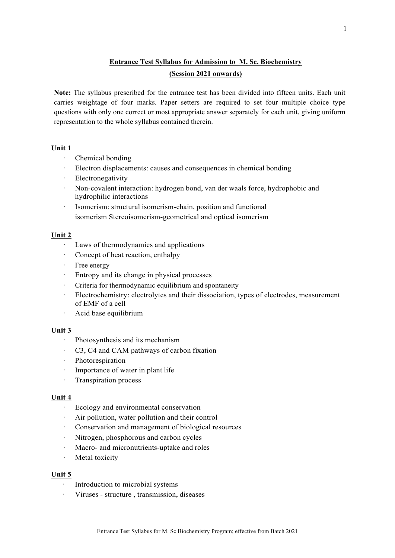# **Entrance Test Syllabus for Admission to M. Sc. Biochemistry (Session 2021 onwards)**

**Note:** The syllabus prescribed for the entrance test has been divided into fifteen units. Each unit carries weightage of four marks. Paper setters are required to set four multiple choice type questions with only one correct or most appropriate answer separately for each unit, giving uniform representation to the whole syllabus contained therein.

# **Unit 1**

- · Chemical bonding
- · Electron displacements: causes and consequences in chemical bonding
- **Electronegativity**
- · Non-covalent interaction: hydrogen bond, van der waals force, hydrophobic and hydrophilic interactions
- Isomerism: structural isomerism-chain, position and functional isomerism Stereoisomerism-geometrical and optical isomerism

# **Unit 2**

- · Laws of thermodynamics and applications
- · Concept of heat reaction, enthalpy
- · Free energy
- Entropy and its change in physical processes
- Criteria for thermodynamic equilibrium and spontaneity
- · Electrochemistry: electrolytes and their dissociation, types of electrodes, measurement of EMF of a cell
- · Acid base equilibrium

# **Unit 3**

- · Photosynthesis and its mechanism
- C3, C4 and CAM pathways of carbon fixation
- · Photorespiration
- · Importance of water in plant life
- · Transpiration process

# **Unit 4**

- · Ecology and environmental conservation
- Air pollution, water pollution and their control
- · Conservation and management of biological resources
- Nitrogen, phosphorous and carbon cycles
- · Macro- and micronutrients-uptake and roles
- · Metal toxicity

# **Unit 5**

- Introduction to microbial systems
- · Viruses structure , transmission, diseases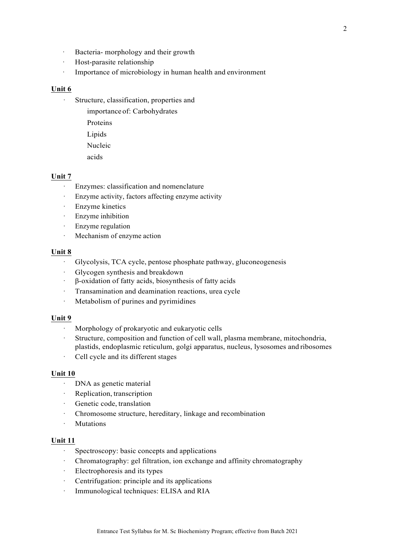- · Bacteria- morphology and their growth
- · Host-parasite relationship
- · Importance of microbiology in human health and environment

#### **Unit 6**

- · Structure, classification, properties and
	- importance of: Carbohydrates
	- Proteins
	- Lipids
	- Nucleic
	- acids

#### **Unit 7**

- Enzymes: classification and nomenclature
- · Enzyme activity, factors affecting enzyme activity
- · Enzyme kinetics
- Enzyme inhibition
- · Enzyme regulation
- · Mechanism of enzyme action

#### **Unit 8**

- · Glycolysis, TCA cycle, pentose phosphate pathway, gluconeogenesis
- Glycogen synthesis and breakdown
- · β-oxidation of fatty acids, biosynthesis of fatty acids
- · Transamination and deamination reactions, urea cycle
- · Metabolism of purines and pyrimidines

#### **Unit 9**

- Morphology of prokaryotic and eukaryotic cells
- Structure, composition and function of cell wall, plasma membrane, mitochondria, plastids, endoplasmic reticulum, golgi apparatus, nucleus, lysosomes and ribosomes
- Cell cycle and its different stages

### **Unit 10**

- · DNA as genetic material
- Replication, transcription
- · Genetic code, translation
- Chromosome structure, hereditary, linkage and recombination
- · Mutations

### **Unit 11**

- · Spectroscopy: basic concepts and applications
- · Chromatography: gel filtration, ion exchange and affinity chromatography
- · Electrophoresis and its types
- · Centrifugation: principle and its applications
- · Immunological techniques: ELISA and RIA